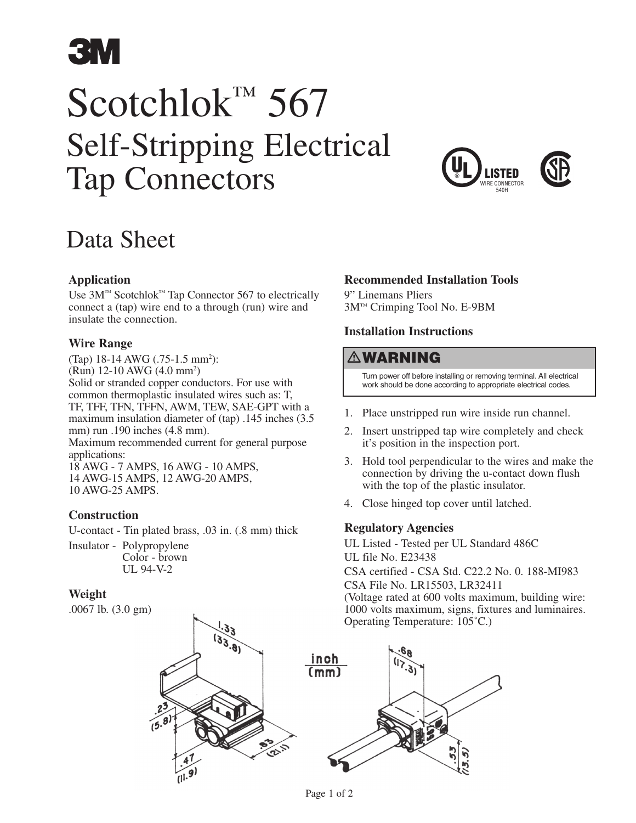

# Scotchlok™ 567 Self-Stripping Electrical Tap Connectors





# Data Sheet

## **Application**

Use 3M™ Scotchlok™ Tap Connector 567 to electrically connect a (tap) wire end to a through (run) wire and insulate the connection.

#### **Wire Range**

(Tap) 18-14 AWG (.75-1.5 mm<sup>2</sup>): (Run) 12-10 AWG (4.0 mm2 ) Solid or stranded copper conductors. For use with common thermoplastic insulated wires such as: T, TF, TFF, TFN, TFFN, AWM, TEW, SAE-GPT with a maximum insulation diameter of (tap) .145 inches (3.5 mm) run .190 inches (4.8 mm). Maximum recommended current for general purpose applications: 18 AWG - 7 AMPS, 16 AWG - 10 AMPS, 14 AWG-15 AMPS, 12 AWG-20 AMPS, 10 AWG-25 AMPS.

#### **Construction**

U-contact - Tin plated brass, .03 in. (.8 mm) thick

Insulator - Polypropylene Color - brown UL 94-V-2

#### **Weight**

.0067 lb. (3.0 gm)

## **Recommended Installation Tools**

9" Linemans Pliers 3M™ Crimping Tool No. E-9BM

## **Installation Instructions**

# WARNING

 Turn power off before installing or removing terminal. All electrical work should be done according to appropriate electrical codes.

- 1. Place unstripped run wire inside run channel.
- 2. Insert unstripped tap wire completely and check it's position in the inspection port.
- 3. Hold tool perpendicular to the wires and make the connection by driving the u-contact down flush with the top of the plastic insulator.
- 4. Close hinged top cover until latched.

#### **Regulatory Agencies**

UL Listed - Tested per UL Standard 486C UL file No. E23438 CSA certified - CSA Std. C22.2 No. 0. 188-MI983

CSA File No. LR15503, LR32411

(Voltage rated at 600 volts maximum, building wire: 1000 volts maximum, signs, fixtures and luminaires. Operating Temperature: 105˚C.)